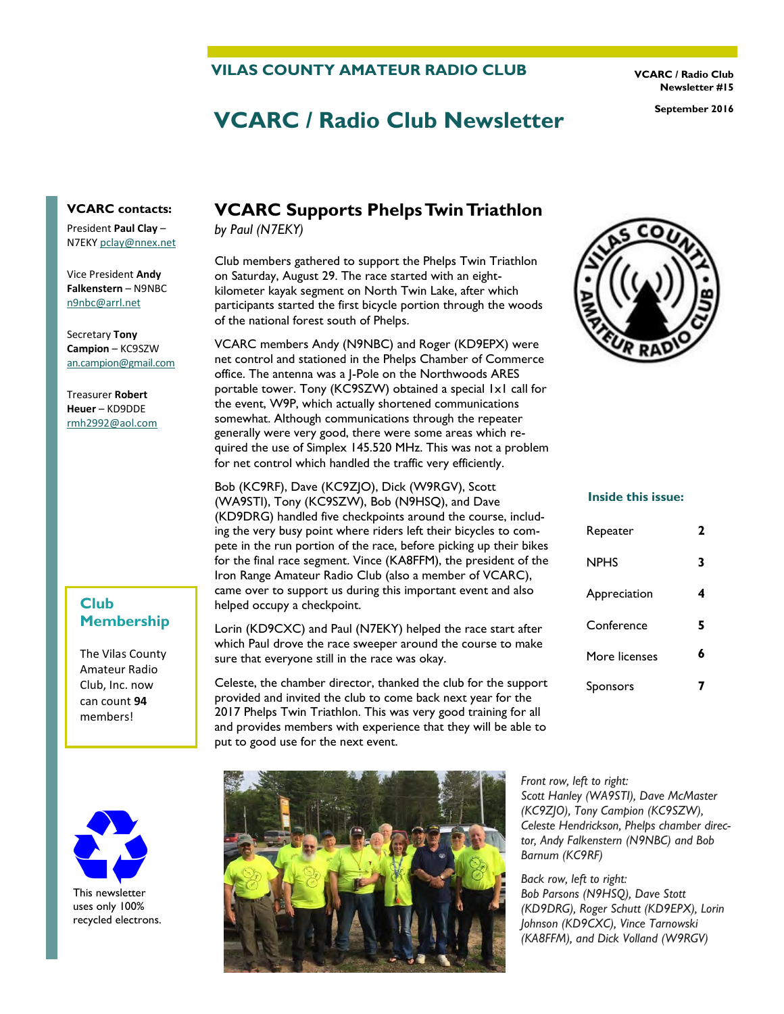#### **VILAS COUNTY AMATEUR RADIO CLUB**

**VCARC / Radio Club Newsletter #15** 

# **VCARC / Radio Club Newsletter September 2016**

**VCARC contacts:** 

President **Paul Clay** – N7EKY [pclay@nnex.net](mailto:pclay@nnex.net)

Vice President **Andy Falkenstern** – N9NBC [n9nbc@arrl.net](mailto:n9nbc@arrl.net)

Secretary **Tony Campion** – KC9SZW [an.campion@gmail.com](mailto:an.campion@gmail.com)

Treasurer **Robert Heuer** – KD9DDE rmh2992@aol.com

### **Club Membership**

The Vilas County Amateur Radio Club, Inc. now can count **94** members!



This newsletter uses only 100% recycled electrons.

# **VCARC Supports Phelps Twin Triathlon**

*by Paul (N7EKY)*

Club members gathered to support the Phelps Twin Triathlon on Saturday, August 29. The race started with an eightkilometer kayak segment on North Twin Lake, after which participants started the first bicycle portion through the woods of the national forest south of Phelps.

VCARC members Andy (N9NBC) and Roger (KD9EPX) were net control and stationed in the Phelps Chamber of Commerce office. The antenna was a J-Pole on the Northwoods ARES portable tower. Tony (KC9SZW) obtained a special 1x1 call for the event, W9P, which actually shortened communications somewhat. Although communications through the repeater generally were very good, there were some areas which required the use of Simplex 145.520 MHz. This was not a problem for net control which handled the traffic very efficiently.

Bob (KC9RF), Dave (KC9ZJO), Dick (W9RGV), Scott (WA9STI), Tony (KC9SZW), Bob (N9HSQ), and Dave (KD9DRG) handled five checkpoints around the course, including the very busy point where riders left their bicycles to compete in the run portion of the race, before picking up their bikes for the final race segment. Vince (KA8FFM), the president of the Iron Range Amateur Radio Club (also a member of VCARC), came over to support us during this important event and also helped occupy a checkpoint.

Lorin (KD9CXC) and Paul (N7EKY) helped the race start after which Paul drove the race sweeper around the course to make sure that everyone still in the race was okay.

Celeste, the chamber director, thanked the club for the support provided and invited the club to come back next year for the 2017 Phelps Twin Triathlon. This was very good training for all and provides members with experience that they will be able to put to good use for the next event.





#### **Inside this issue:**

| Repeater      | 2 |
|---------------|---|
| NPHS          | 3 |
| Appreciation  | 4 |
| Conference    | 5 |
| More licenses | ħ |
| Sponsors      |   |

*Front row, left to right: Scott Hanley (WA9STI), Dave McMaster (KC9ZJO), Tony Campion (KC9SZW), Celeste Hendrickson, Phelps chamber director, Andy Falkenstern (N9NBC) and Bob Barnum (KC9RF)* 

*Back row, left to right: Bob Parsons (N9HSQ), Dave Stott (KD9DRG), Roger Schutt (KD9EPX), Lorin Johnson (KD9CXC), Vince Tarnowski (KA8FFM), and Dick Volland (W9RGV)*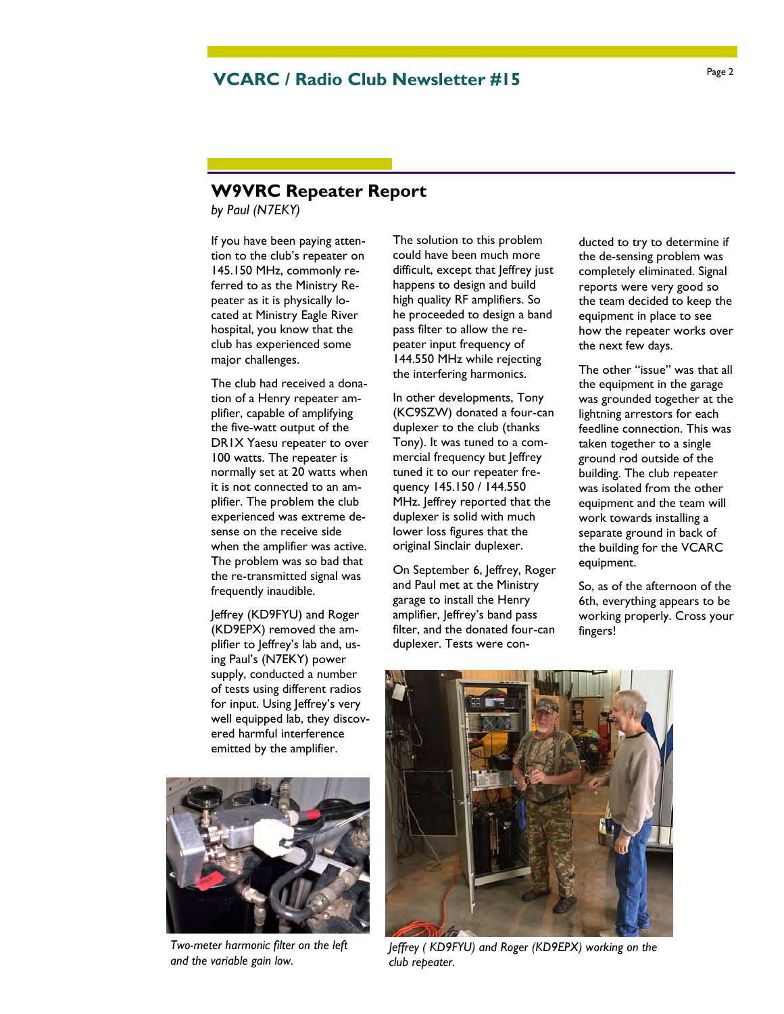# Page 2 **VCARC / Radio Club Newsletter #15**

### **W9VRC Repeater Report**

*by Paul (N7EKY)*

If you have been paying attention to the club's repeater on 145.150 MHz, commonly referred to as the Ministry Repeater as it is physically located at Ministry Eagle River hospital, you know that the club has experienced some major challenges.

The club had received a donation of a Henry repeater amplifier, capable of amplifying the five-watt output of the DR1X Yaesu repeater to over 100 watts. The repeater is normally set at 20 watts when it is not connected to an amplifier. The problem the club experienced was extreme desense on the receive side when the amplifier was active. The problem was so bad that the re-transmitted signal was frequently inaudible.

Jeffrey (KD9FYU) and Roger (KD9EPX) removed the amplifier to Jeffrey's lab and, using Paul's (N7EKY) power supply, conducted a number of tests using different radios for input. Using Jeffrey's very well equipped lab, they discovered harmful interference emitted by the amplifier.



*Two-meter harmonic filter on the left and the variable gain low.* 

The solution to this problem could have been much more difficult, except that leffrey just happens to design and build high quality RF amplifiers. So he proceeded to design a band pass filter to allow the repeater input frequency of 144.550 MHz while rejecting the interfering harmonics.

In other developments, Tony (KC9SZW) donated a four-can duplexer to the club (thanks Tony). It was tuned to a commercial frequency but Jeffrey tuned it to our repeater frequency 145.150 / 144.550 MHz. Jeffrey reported that the duplexer is solid with much lower loss figures that the original Sinclair duplexer.

On September 6, Jeffrey, Roger and Paul met at the Ministry garage to install the Henry amplifier, leffrey's band pass filter, and the donated four-can duplexer. Tests were conducted to try to determine if the de-sensing problem was completely eliminated. Signal reports were very good so the team decided to keep the equipment in place to see how the repeater works over the next few days.

The other "issue" was that all the equipment in the garage was grounded together at the lightning arrestors for each feedline connection. This was taken together to a single ground rod outside of the building. The club repeater was isolated from the other equipment and the team will work towards installing a separate ground in back of the building for the VCARC equipment.

So, as of the afternoon of the 6th, everything appears to be working properly. Cross your fingers!



*Jeffrey ( KD9FYU) and Roger (KD9EPX) working on the club repeater.*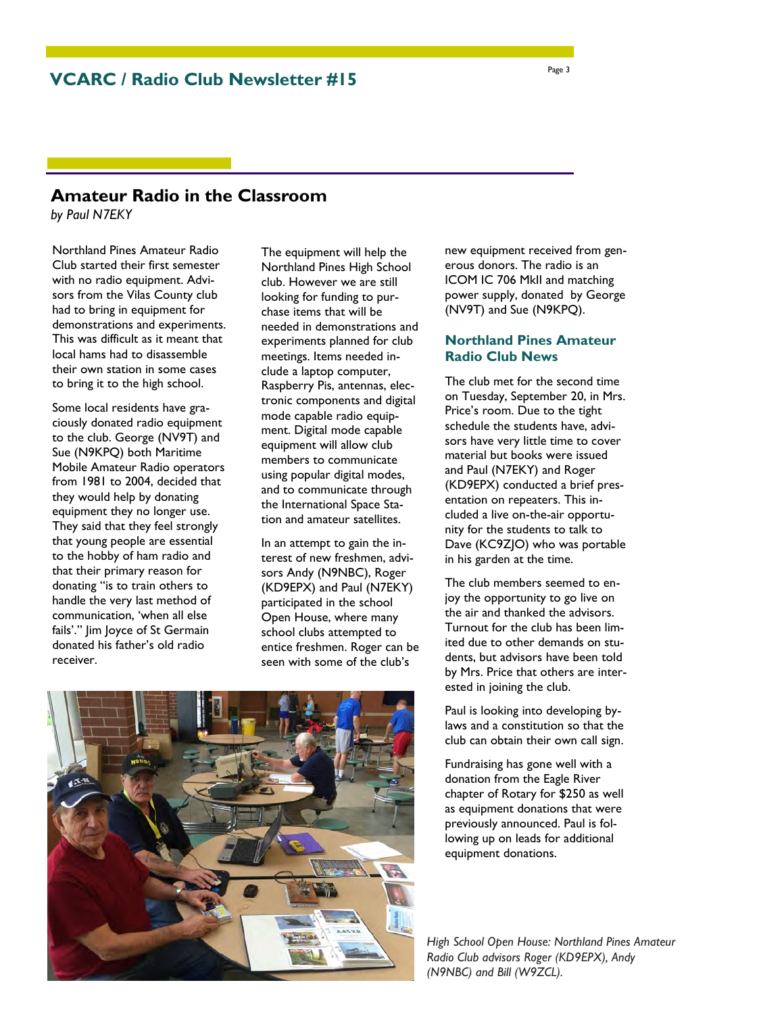# **Amateur Radio in the Classroom**

*by Paul N7EKY*

Northland Pines Amateur Radio Club started their first semester with no radio equipment. Advisors from the Vilas County club had to bring in equipment for demonstrations and experiments. This was difficult as it meant that local hams had to disassemble their own station in some cases to bring it to the high school.

Some local residents have graciously donated radio equipment to the club. George (NV9T) and Sue (N9KPQ) both Maritime Mobile Amateur Radio operators from 1981 to 2004, decided that they would help by donating equipment they no longer use. They said that they feel strongly that young people are essential to the hobby of ham radio and that their primary reason for donating "is to train others to handle the very last method of communication, 'when all else fails'." Jim Joyce of St Germain donated his father's old radio receiver.

The equipment will help the Northland Pines High School club. However we are still looking for funding to purchase items that will be needed in demonstrations and experiments planned for club meetings. Items needed include a laptop computer, Raspberry Pis, antennas, electronic components and digital mode capable radio equipment. Digital mode capable equipment will allow club members to communicate using popular digital modes, and to communicate through the International Space Station and amateur satellites.

In an attempt to gain the interest of new freshmen, advisors Andy (N9NBC), Roger (KD9EPX) and Paul (N7EKY) participated in the school Open House, where many school clubs attempted to entice freshmen. Roger can be seen with some of the club's

new equipment received from generous donors. The radio is an ICOM IC 706 MkII and matching power supply, donated by George (NV9T) and Sue (N9KPQ).

### **Northland Pines Amateur Radio Club News**

The club met for the second time on Tuesday, September 20, in Mrs. Price's room. Due to the tight schedule the students have, advisors have very little time to cover material but books were issued and Paul (N7EKY) and Roger (KD9EPX) conducted a brief presentation on repeaters. This included a live on-the-air opportunity for the students to talk to Dave (KC9ZJO) who was portable in his garden at the time.

The club members seemed to enjoy the opportunity to go live on the air and thanked the advisors. Turnout for the club has been limited due to other demands on students, but advisors have been told by Mrs. Price that others are interested in joining the club.

Paul is looking into developing bylaws and a constitution so that the club can obtain their own call sign.

Fundraising has gone well with a donation from the Eagle River chapter of Rotary for \$250 as well as equipment donations that were previously announced. Paul is following up on leads for additional equipment donations.

*High School Open House: Northland Pines Amateur Radio Club advisors Roger (KD9EPX), Andy (N9NBC) and Bill (W9ZCL).* 

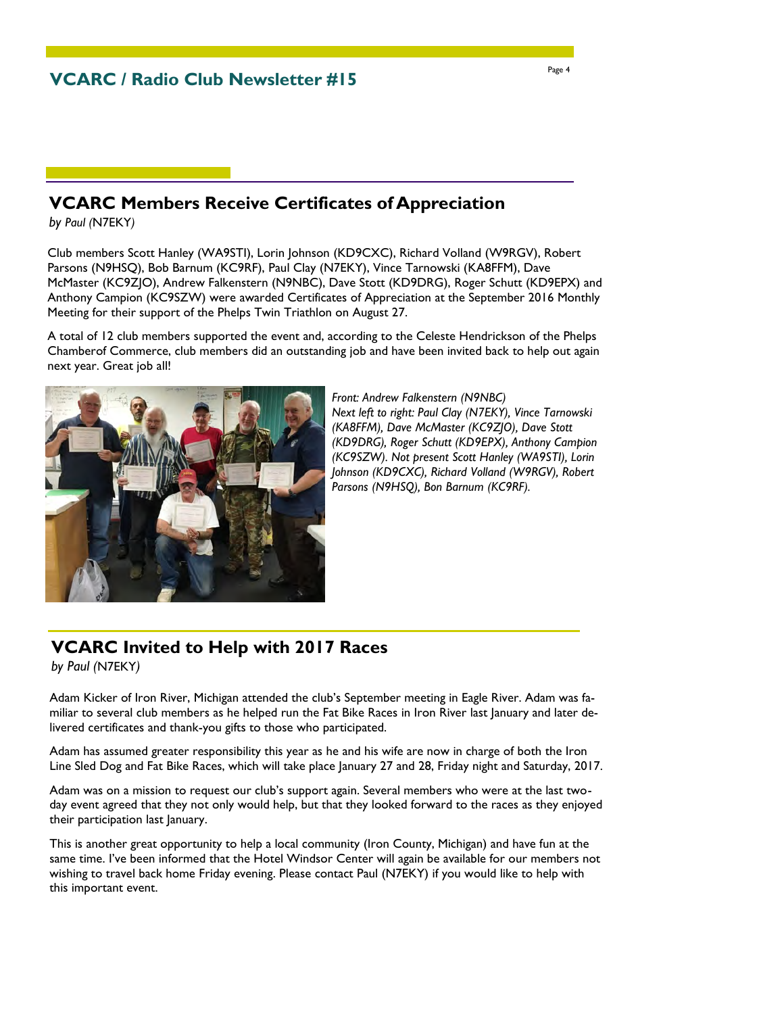# **VCARC Members Receive Certificates of Appreciation**

*by Paul (*N7EKY*)*

Club members Scott Hanley (WA9STI), Lorin Johnson (KD9CXC), Richard Volland (W9RGV), Robert Parsons (N9HSQ), Bob Barnum (KC9RF), Paul Clay (N7EKY), Vince Tarnowski (KA8FFM), Dave McMaster (KC9ZJO), Andrew Falkenstern (N9NBC), Dave Stott (KD9DRG), Roger Schutt (KD9EPX) and Anthony Campion (KC9SZW) were awarded Certificates of Appreciation at the September 2016 Monthly Meeting for their support of the Phelps Twin Triathlon on August 27.

A total of 12 club members supported the event and, according to the Celeste Hendrickson of the Phelps Chamberof Commerce, club members did an outstanding job and have been invited back to help out again next year. Great job all!



*Front: Andrew Falkenstern (N9NBC) Next left to right: Paul Clay (N7EKY), Vince Tarnowski (KA8FFM), Dave McMaster (KC9ZJO), Dave Stott (KD9DRG), Roger Schutt (KD9EPX), Anthony Campion (KC9SZW). Not present Scott Hanley (WA9STI), Lorin Johnson (KD9CXC), Richard Volland (W9RGV), Robert Parsons (N9HSQ), Bon Barnum (KC9RF).* 

# **VCARC Invited to Help with 2017 Races**

*by Paul (*N7EKY*)* 

Adam Kicker of Iron River, Michigan attended the club's September meeting in Eagle River. Adam was familiar to several club members as he helped run the Fat Bike Races in Iron River last January and later delivered certificates and thank-you gifts to those who participated.

Adam has assumed greater responsibility this year as he and his wife are now in charge of both the Iron Line Sled Dog and Fat Bike Races, which will take place January 27 and 28, Friday night and Saturday, 2017.

Adam was on a mission to request our club's support again. Several members who were at the last twoday event agreed that they not only would help, but that they looked forward to the races as they enjoyed their participation last January.

This is another great opportunity to help a local community (Iron County, Michigan) and have fun at the same time. I've been informed that the Hotel Windsor Center will again be available for our members not wishing to travel back home Friday evening. Please contact Paul (N7EKY) if you would like to help with this important event.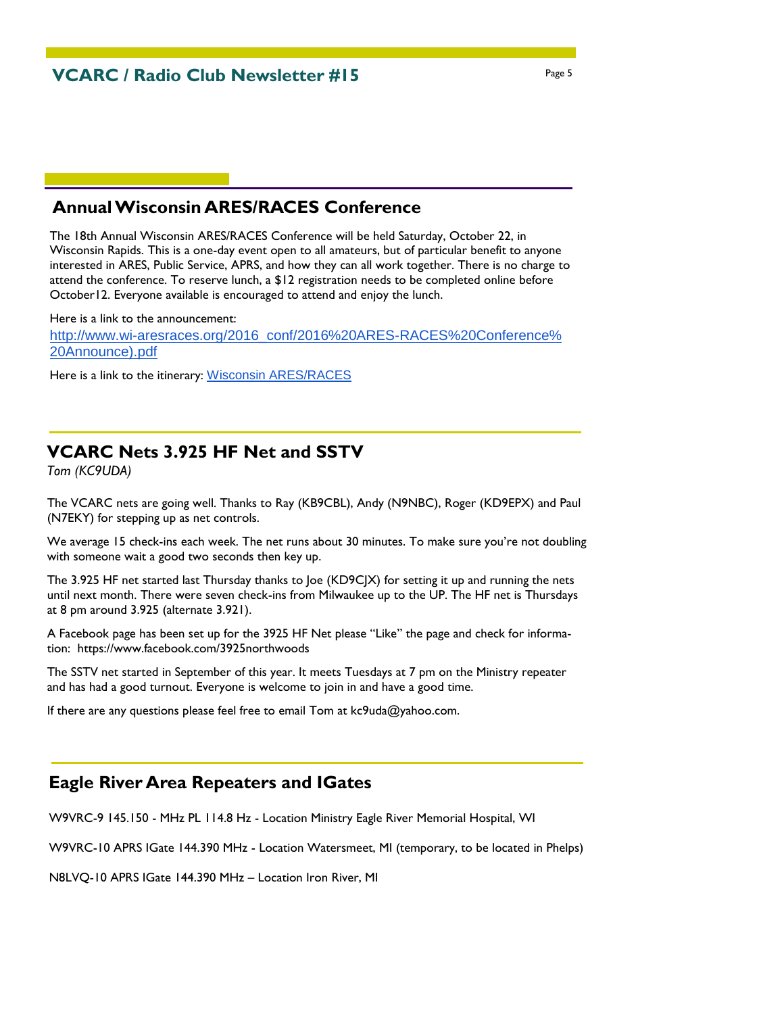# **Annual Wisconsin ARES/RACES Conference**

The 18th Annual Wisconsin ARES/RACES Conference will be held Saturday, October 22, in Wisconsin Rapids. This is a one-day event open to all amateurs, but of particular benefit to anyone interested in ARES, Public Service, APRS, and how they can all work together. There is no charge to attend the conference. To reserve lunch, a \$12 registration needs to be completed online before October12. Everyone available is encouraged to attend and enjoy the lunch.

Here is a link to the announcement: [http://www.wi-aresraces.org/2016\\_conf/2016%20ARES-RACES%20Conference%](http://www.wi-aresraces.org/2016_conf/2016%20ARES-RACES%20Conference%20Announce).pdf) [20Announce\).pdf](http://www.wi-aresraces.org/2016_conf/2016%20ARES-RACES%20Conference%20Announce).pdf)

Here is a link to the itinerary: [Wisconsin ARES/RACES](http://www.wi-aresraces.org/itinerary16.shtml)

### **VCARC Nets 3.925 HF Net and SSTV**

*Tom (KC9UDA)*

The VCARC nets are going well. Thanks to Ray (KB9CBL), Andy (N9NBC), Roger (KD9EPX) and Paul (N7EKY) for stepping up as net controls.

We average 15 check-ins each week. The net runs about 30 minutes. To make sure you're not doubling with someone wait a good two seconds then key up.

The 3.925 HF net started last Thursday thanks to Joe (KD9CJX) for setting it up and running the nets until next month. There were seven check-ins from Milwaukee up to the UP. The HF net is Thursdays at 8 pm around 3.925 (alternate 3.921).

A Facebook page has been set up for the 3925 HF Net please "Like" the page and check for information: https://www.facebook.com/3925northwoods

The SSTV net started in September of this year. It meets Tuesdays at 7 pm on the Ministry repeater and has had a good turnout. Everyone is welcome to join in and have a good time.

If there are any questions please feel free to email Tom at kc9uda@yahoo.com.

# **Eagle River Area Repeaters and IGates**

W9VRC-9 145.150 - MHz PL 114.8 Hz - Location Ministry Eagle River Memorial Hospital, WI

W9VRC-10 APRS IGate 144.390 MHz - Location Watersmeet, MI (temporary, to be located in Phelps)

N8LVQ-10 APRS IGate 144.390 MHz – Location Iron River, MI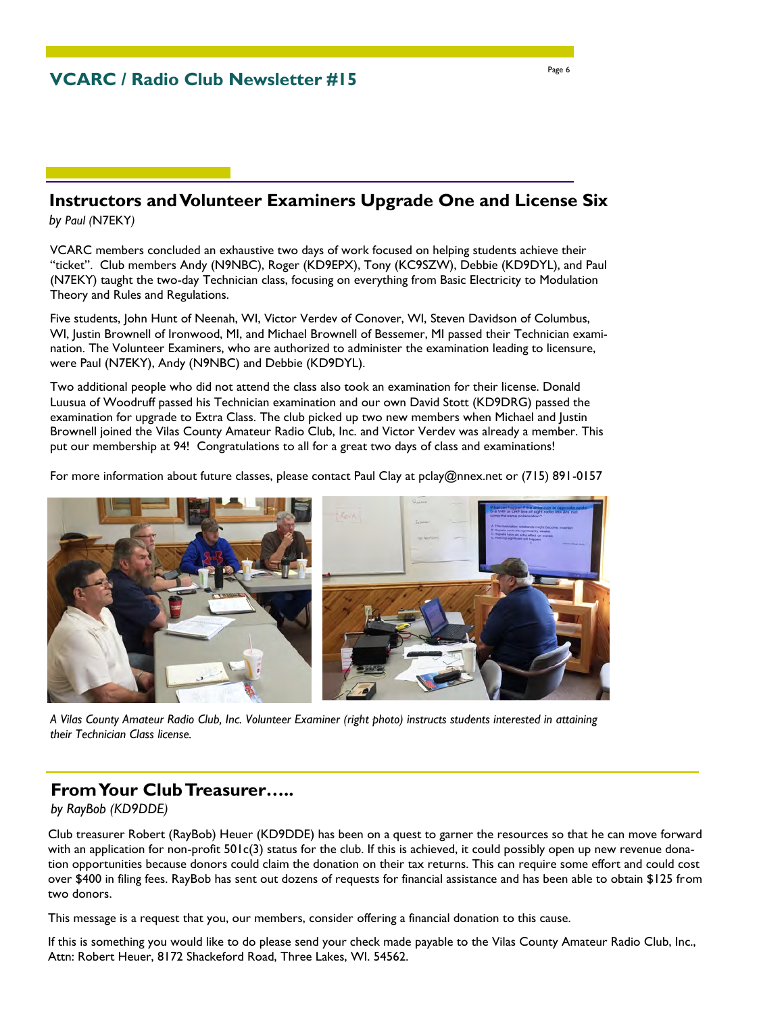# **Instructors and Volunteer Examiners Upgrade One and License Six**

*by Paul (*N7EKY*)*

VCARC members concluded an exhaustive two days of work focused on helping students achieve their "ticket". Club members Andy (N9NBC), Roger (KD9EPX), Tony (KC9SZW), Debbie (KD9DYL), and Paul (N7EKY) taught the two-day Technician class, focusing on everything from Basic Electricity to Modulation Theory and Rules and Regulations.

Five students, John Hunt of Neenah, WI, Victor Verdev of Conover, WI, Steven Davidson of Columbus, WI, Justin Brownell of Ironwood, MI, and Michael Brownell of Bessemer, MI passed their Technician examination. The Volunteer Examiners, who are authorized to administer the examination leading to licensure, were Paul (N7EKY), Andy (N9NBC) and Debbie (KD9DYL).

Two additional people who did not attend the class also took an examination for their license. Donald Luusua of Woodruff passed his Technician examination and our own David Stott (KD9DRG) passed the examination for upgrade to Extra Class. The club picked up two new members when Michael and Justin Brownell joined the Vilas County Amateur Radio Club, Inc. and Victor Verdev was already a member. This put our membership at 94! Congratulations to all for a great two days of class and examinations!

For more information about future classes, please contact Paul Clay at pclay@nnex.net or (715) 891-0157



*A Vilas County Amateur Radio Club, Inc. Volunteer Examiner (right photo) instructs students interested in attaining their Technician Class license.* 

# **From Your Club Treasurer…..**

*by RayBob (KD9DDE)*

Club treasurer Robert (RayBob) Heuer (KD9DDE) has been on a quest to garner the resources so that he can move forward with an application for non-profit 501c(3) status for the club. If this is achieved, it could possibly open up new revenue donation opportunities because donors could claim the donation on their tax returns. This can require some effort and could cost over \$400 in filing fees. RayBob has sent out dozens of requests for financial assistance and has been able to obtain \$125 from two donors.

This message is a request that you, our members, consider offering a financial donation to this cause.

If this is something you would like to do please send your check made payable to the Vilas County Amateur Radio Club, Inc., Attn: Robert Heuer, 8172 Shackeford Road, Three Lakes, WI. 54562.